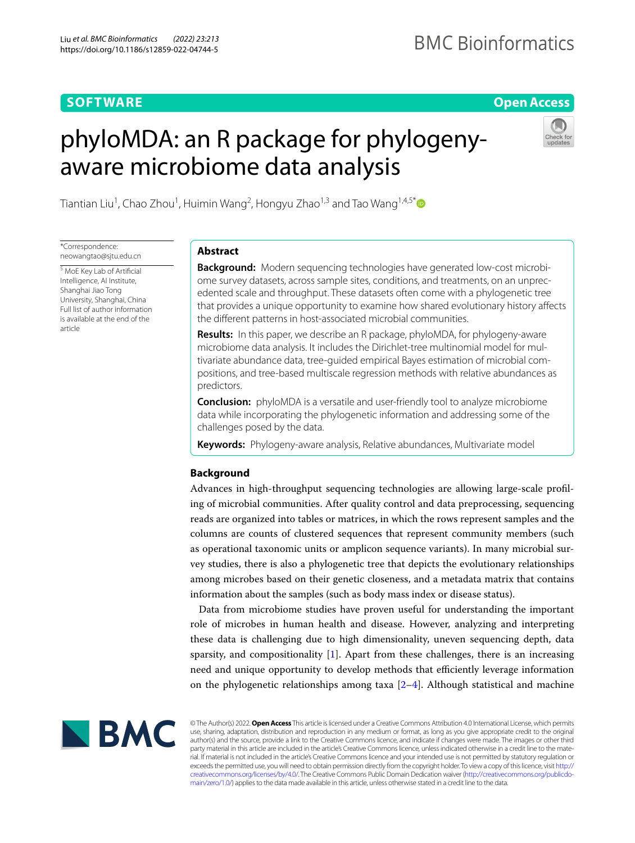# **SOFTWARE**

## **Open Access**

# phyloMDA: an R package for phylogenyaware microbiome data analysis



Tiantian Liu<sup>1</sup>, Chao Zhou<sup>1</sup>, Huimin Wang<sup>2</sup>, Hongyu Zhao<sup>1,3</sup> and Tao Wang<sup>1,4,5\*</sup>

\*Correspondence: neowangtao@sjtu.edu.cn

5 MoE Key Lab of Artifcial Intelligence, AI Institute, Shanghai Jiao Tong University, Shanghai, China Full list of author information is available at the end of the article

# **Abstract**

**Background:** Modern sequencing technologies have generated low-cost microbiome survey datasets, across sample sites, conditions, and treatments, on an unprecedented scale and throughput. These datasets often come with a phylogenetic tree that provides a unique opportunity to examine how shared evolutionary history afects the diferent patterns in host-associated microbial communities.

**Results:** In this paper, we describe an R package, phyloMDA, for phylogeny-aware microbiome data analysis. It includes the Dirichlet-tree multinomial model for multivariate abundance data, tree-guided empirical Bayes estimation of microbial compositions, and tree-based multiscale regression methods with relative abundances as predictors.

**Conclusion:** phyloMDA is a versatile and user-friendly tool to analyze microbiome data while incorporating the phylogenetic information and addressing some of the challenges posed by the data.

**Keywords:** Phylogeny-aware analysis, Relative abundances, Multivariate model

## **Background**

Advances in high-throughput sequencing technologies are allowing large-scale profling of microbial communities. After quality control and data preprocessing, sequencing reads are organized into tables or matrices, in which the rows represent samples and the columns are counts of clustered sequences that represent community members (such as operational taxonomic units or amplicon sequence variants). In many microbial survey studies, there is also a phylogenetic tree that depicts the evolutionary relationships among microbes based on their genetic closeness, and a metadata matrix that contains information about the samples (such as body mass index or disease status).

Data from microbiome studies have proven useful for understanding the important role of microbes in human health and disease. However, analyzing and interpreting these data is challenging due to high dimensionality, uneven sequencing depth, data sparsity, and compositionality  $[1]$  $[1]$ . Apart from these challenges, there is an increasing need and unique opportunity to develop methods that efficiently leverage information on the phylogenetic relationships among taxa  $[2-4]$  $[2-4]$ . Although statistical and machine



© The Author(s) 2022. **Open Access** This article is licensed under a Creative Commons Attribution 4.0 International License, which permits use, sharing, adaptation, distribution and reproduction in any medium or format, as long as you give appropriate credit to the original author(s) and the source, provide a link to the Creative Commons licence, and indicate if changes were made. The images or other third party material in this article are included in the article's Creative Commons licence, unless indicated otherwise in a credit line to the material. If material is not included in the article's Creative Commons licence and your intended use is not permitted by statutory regulation or exceeds the permitted use, you will need to obtain permission directly from the copyright holder. To view a copy of this licence, visit [http://](http://creativecommons.org/licenses/by/4.0/) [creativecommons.org/licenses/by/4.0/.](http://creativecommons.org/licenses/by/4.0/) The Creative Commons Public Domain Dedication waiver [\(http://creativecommons.org/publicdo](http://creativecommons.org/publicdomain/zero/1.0/)[main/zero/1.0/\)](http://creativecommons.org/publicdomain/zero/1.0/) applies to the data made available in this article, unless otherwise stated in a credit line to the data.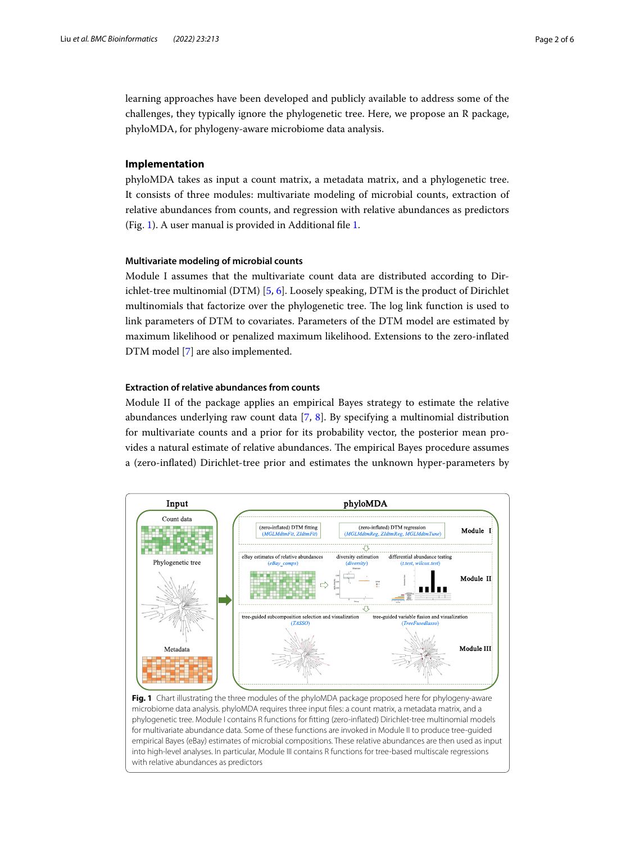learning approaches have been developed and publicly available to address some of the challenges, they typically ignore the phylogenetic tree. Here, we propose an R package, phyloMDA, for phylogeny-aware microbiome data analysis.

## **Implementation**

phyloMDA takes as input a count matrix, a metadata matrix, and a phylogenetic tree. It consists of three modules: multivariate modeling of microbial counts, extraction of relative abundances from counts, and regression with relative abundances as predictors (Fig. [1\)](#page-1-0). A user manual is provided in Additional fle [1.](#page-4-3)

## **Multivariate modeling of microbial counts**

Module I assumes that the multivariate count data are distributed according to Dirichlet-tree multinomial (DTM) [[5,](#page-4-4) [6](#page-4-5)]. Loosely speaking, DTM is the product of Dirichlet multinomials that factorize over the phylogenetic tree. The log link function is used to link parameters of DTM to covariates. Parameters of the DTM model are estimated by maximum likelihood or penalized maximum likelihood. Extensions to the zero-infated DTM model [[7\]](#page-4-6) are also implemented.

## **Extraction of relative abundances from counts**

Module II of the package applies an empirical Bayes strategy to estimate the relative abundances underlying raw count data [\[7](#page-4-6), [8\]](#page-5-0). By specifying a multinomial distribution for multivariate counts and a prior for its probability vector, the posterior mean provides a natural estimate of relative abundances. The empirical Bayes procedure assumes a (zero-infated) Dirichlet-tree prior and estimates the unknown hyper-parameters by

<span id="page-1-0"></span>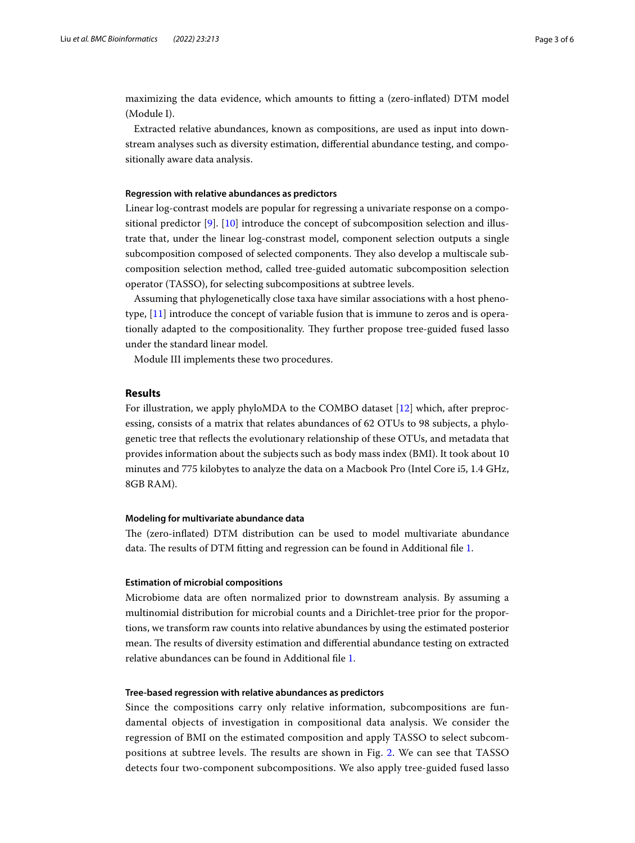maximizing the data evidence, which amounts to ftting a (zero-infated) DTM model (Module I).

Extracted relative abundances, known as compositions, are used as input into downstream analyses such as diversity estimation, diferential abundance testing, and compositionally aware data analysis.

## **Regression with relative abundances as predictors**

Linear log-contrast models are popular for regressing a univariate response on a compositional predictor [[9](#page-5-1)]. [[10\]](#page-5-2) introduce the concept of subcomposition selection and illustrate that, under the linear log-constrast model, component selection outputs a single subcomposition composed of selected components. They also develop a multiscale subcomposition selection method, called tree-guided automatic subcomposition selection operator (TASSO), for selecting subcompositions at subtree levels.

Assuming that phylogenetically close taxa have similar associations with a host phenotype, [\[11](#page-5-3)] introduce the concept of variable fusion that is immune to zeros and is operationally adapted to the compositionality. They further propose tree-guided fused lasso under the standard linear model.

Module III implements these two procedures.

## **Results**

For illustration, we apply phyloMDA to the COMBO dataset [[12](#page-5-4)] which, after preprocessing, consists of a matrix that relates abundances of 62 OTUs to 98 subjects, a phylogenetic tree that refects the evolutionary relationship of these OTUs, and metadata that provides information about the subjects such as body mass index (BMI). It took about 10 minutes and 775 kilobytes to analyze the data on a Macbook Pro (Intel Core i5, 1.4 GHz, 8GB RAM).

## **Modeling for multivariate abundance data**

The (zero-inflated) DTM distribution can be used to model multivariate abundance data. The results of DTM fitting and regression can be found in Additional file [1](#page-4-3).

#### **Estimation of microbial compositions**

Microbiome data are often normalized prior to downstream analysis. By assuming a multinomial distribution for microbial counts and a Dirichlet-tree prior for the proportions, we transform raw counts into relative abundances by using the estimated posterior mean. The results of diversity estimation and differential abundance testing on extracted relative abundances can be found in Additional fle [1](#page-4-3).

## **Tree‑based regression with relative abundances as predictors**

Since the compositions carry only relative information, subcompositions are fundamental objects of investigation in compositional data analysis. We consider the regression of BMI on the estimated composition and apply TASSO to select subcom-positions at subtree levels. The results are shown in Fig. [2](#page-3-0). We can see that TASSO detects four two-component subcompositions. We also apply tree-guided fused lasso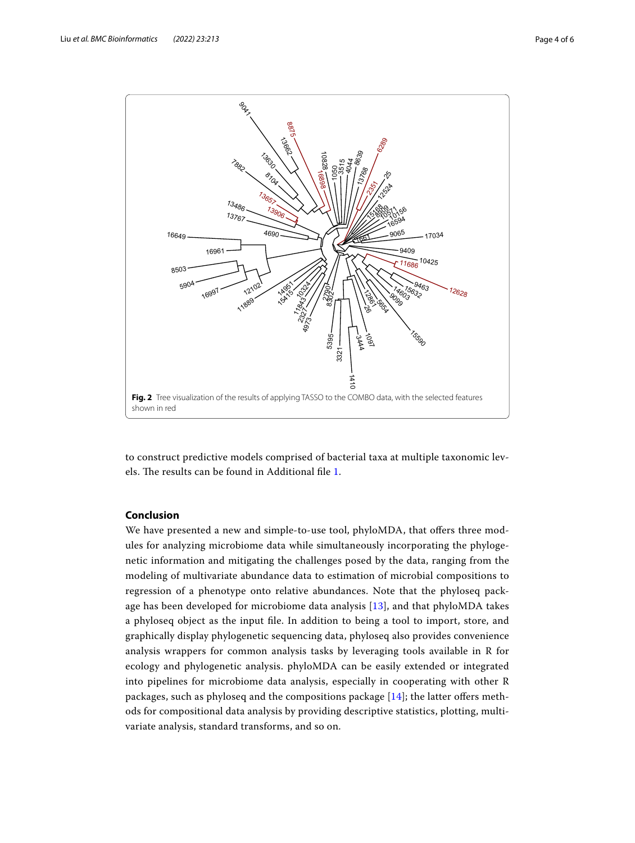

<span id="page-3-0"></span>to construct predictive models comprised of bacterial taxa at multiple taxonomic lev-els. The results can be found in Additional file [1.](#page-4-3)

## **Conclusion**

We have presented a new and simple-to-use tool, phyloMDA, that offers three modules for analyzing microbiome data while simultaneously incorporating the phylogenetic information and mitigating the challenges posed by the data, ranging from the modeling of multivariate abundance data to estimation of microbial compositions to regression of a phenotype onto relative abundances. Note that the phyloseq package has been developed for microbiome data analysis [[13\]](#page-5-5), and that phyloMDA takes a phyloseq object as the input fle. In addition to being a tool to import, store, and graphically display phylogenetic sequencing data, phyloseq also provides convenience analysis wrappers for common analysis tasks by leveraging tools available in R for ecology and phylogenetic analysis. phyloMDA can be easily extended or integrated into pipelines for microbiome data analysis, especially in cooperating with other R packages, such as phyloseq and the compositions package  $[14]$  $[14]$ ; the latter offers methods for compositional data analysis by providing descriptive statistics, plotting, multivariate analysis, standard transforms, and so on.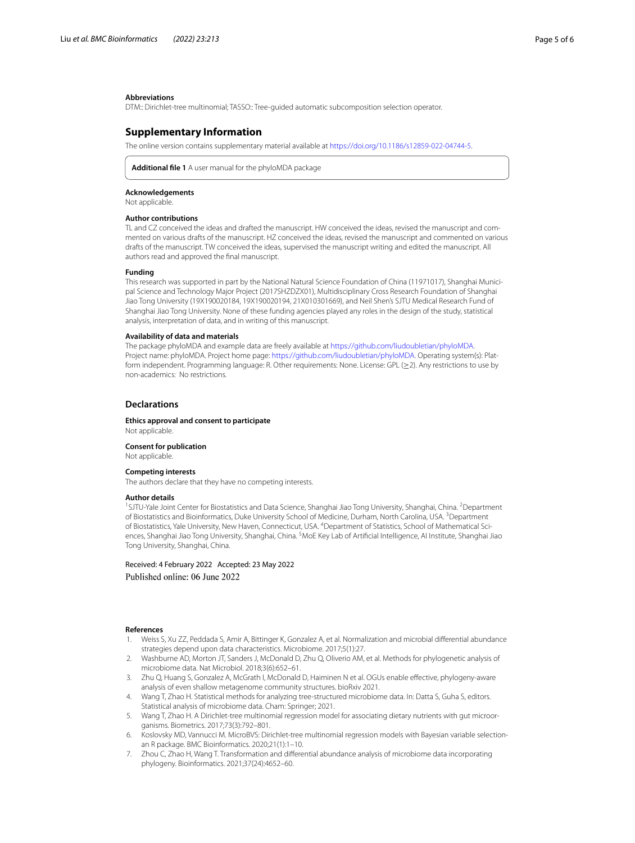#### **Abbreviations**

DTM:: Dirichlet-tree multinomial; TASSO:: Tree-guided automatic subcomposition selection operator.

## **Supplementary Information**

The online version contains supplementary material available at [https://doi.org/10.1186/s12859-022-04744-5.](https://doi.org/10.1186/s12859-022-04744-5)

<span id="page-4-3"></span>**Additional fle 1** A user manual for the phyloMDA package

#### **Acknowledgements**

Not applicable.

## **Author contributions**

TL and CZ conceived the ideas and drafted the manuscript. HW conceived the ideas, revised the manuscript and commented on various drafts of the manuscript. HZ conceived the ideas, revised the manuscript and commented on various drafts of the manuscript. TW conceived the ideas, supervised the manuscript writing and edited the manuscript. All authors read and approved the fnal manuscript.

#### **Funding**

This research was supported in part by the National Natural Science Foundation of China (11971017), Shanghai Municipal Science and Technology Major Project (2017SHZDZX01), Multidisciplinary Cross Research Foundation of Shanghai Jiao Tong University (19X190020184, 19X190020194, 21X010301669), and Neil Shen's SJTU Medical Research Fund of Shanghai Jiao Tong University. None of these funding agencies played any roles in the design of the study, statistical analysis, interpretation of data, and in writing of this manuscript.

#### **Availability of data and materials**

The package phyloMDA and example data are freely available at<https://github.com/liudoubletian/phyloMDA>. Project name: phyloMDA. Project home page: [https://github.com/liudoubletian/phyloMDA.](https://github.com/liudoubletian/phyloMDA) Operating system(s): Platform independent. Programming language: R. Other requirements: None. License: GPL (≥2). Any restrictions to use by non-academics: No restrictions.

#### **Declarations**

#### **Ethics approval and consent to participate** Not applicable.

**Consent for publication** Not applicable.

## **Competing interests**

The authors declare that they have no competing interests.

#### **Author details**

<sup>1</sup>SJTU-Yale Joint Center for Biostatistics and Data Science, Shanghai Jiao Tong University, Shanghai, China. <sup>2</sup>Department of Biostatistics and Bioinformatics, Duke University School of Medicine, Durham, North Carolina, USA. <sup>3</sup>Department of Biostatistics, Yale University, New Haven, Connecticut, USA. <sup>4</sup>Department of Statistics, School of Mathematical Sciences, Shanghai Jiao Tong University, Shanghai, China. <sup>5</sup>MoE Key Lab of Artificial Intelligence, Al Institute, Shanghai Jiao Tong University, Shanghai, China.

Received: 4 February 2022 Accepted: 23 May 2022 Published online: 06 June 2022

#### **References**

- <span id="page-4-0"></span>1. Weiss S, Xu ZZ, Peddada S, Amir A, Bittinger K, Gonzalez A, et al. Normalization and microbial diferential abundance strategies depend upon data characteristics. Microbiome. 2017;5(1):27.
- <span id="page-4-1"></span>2. Washburne AD, Morton JT, Sanders J, McDonald D, Zhu Q, Oliverio AM, et al. Methods for phylogenetic analysis of microbiome data. Nat Microbiol. 2018;3(6):652–61.
- 3. Zhu Q, Huang S, Gonzalez A, McGrath I, McDonald D, Haiminen N et al. OGUs enable efective, phylogeny-aware analysis of even shallow metagenome community structures. bioRxiv 2021.
- <span id="page-4-2"></span>4. Wang T, Zhao H. Statistical methods for analyzing tree-structured microbiome data. In: Datta S, Guha S, editors. Statistical analysis of microbiome data. Cham: Springer; 2021.
- <span id="page-4-4"></span>5. Wang T, Zhao H. A Dirichlet-tree multinomial regression model for associating dietary nutrients with gut microorganisms. Biometrics. 2017;73(3):792–801.
- <span id="page-4-5"></span>6. Koslovsky MD, Vannucci M. MicroBVS: Dirichlet-tree multinomial regression models with Bayesian variable selectionan R package. BMC Bioinformatics. 2020;21(1):1–10.
- <span id="page-4-6"></span>7. Zhou C, Zhao H, Wang T. Transformation and diferential abundance analysis of microbiome data incorporating phylogeny. Bioinformatics. 2021;37(24):4652–60.